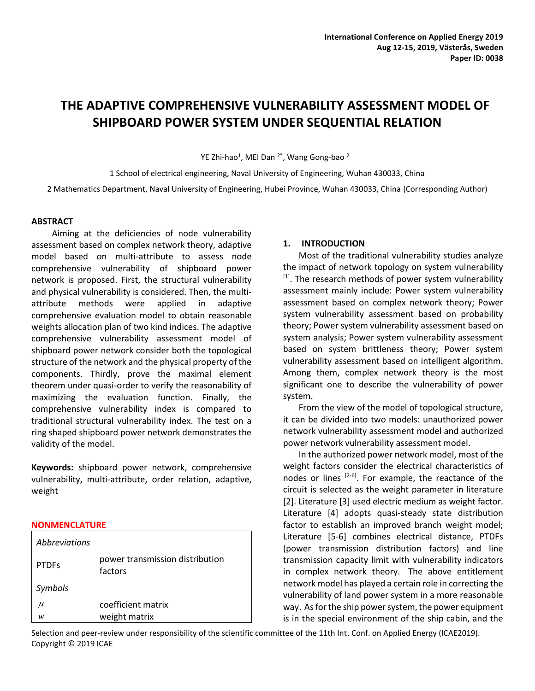# **THE ADAPTIVE COMPREHENSIVE VULNERABILITY ASSESSMENT MODEL OF SHIPBOARD POWER SYSTEM UNDER SEQUENTIAL RELATION**

YE Zhi-hao<sup>1</sup>, MEI Dan <sup>2\*</sup>, Wang Gong-bao <sup>2</sup>

1 School of electrical engineering, Naval University of Engineering, Wuhan 430033, China 2 Mathematics Department, Naval University of Engineering, Hubei Province, Wuhan 430033, China (Corresponding Author)

### **ABSTRACT**

 Aiming at the deficiencies of node vulnerability assessment based on complex network theory, adaptive model based on multi-attribute to assess node comprehensive vulnerability of shipboard power network is proposed. First, the structural vulnerability and physical vulnerability is considered. Then, the multiattribute methods were applied in adaptive comprehensive evaluation model to obtain reasonable weights allocation plan of two kind indices. The adaptive comprehensive vulnerability assessment model of shipboard power network consider both the topological structure of the network and the physical property of the components. Thirdly, prove the maximal element theorem under quasi-order to verify the reasonability of maximizing the evaluation function. Finally, the comprehensive vulnerability index is compared to traditional structural vulnerability index. The test on a ring shaped shipboard power network demonstrates the validity of the model.

**Keywords:** shipboard power network, comprehensive vulnerability, multi-attribute, order relation, adaptive, weight

#### **NONMENCLATURE**

| <i>Abbreviations</i> |                                            |
|----------------------|--------------------------------------------|
| <b>PTDFs</b>         | power transmission distribution<br>factors |
| Symbols              |                                            |
| $\mu$                | coefficient matrix                         |
| w                    | weight matrix                              |

### **1. INTRODUCTION**

Most of the traditional vulnerability studies analyze the impact of network topology on system vulnerability  $[1]$ . The research methods of power system vulnerability assessment mainly include: Power system vulnerability assessment based on complex network theory; Power system vulnerability assessment based on probability theory; Power system vulnerability assessment based on system analysis; Power system vulnerability assessment based on system brittleness theory; Power system vulnerability assessment based on intelligent algorithm. Among them, complex network theory is the most significant one to describe the vulnerability of power system.

From the view of the model of topological structure, it can be divided into two models: unauthorized power network vulnerability assessment model and authorized power network vulnerability assessment model.

In the authorized power network model, most of the weight factors consider the electrical characteristics of nodes or lines  $[2-6]$ . For example, the reactance of the circuit is selected as the weight parameter in literature [2]. Literature [3] used electric medium as weight factor. Literature [4] adopts quasi-steady state distribution factor to establish an improved branch weight model; Literature [5-6] combines electrical distance, PTDFs (power transmission distribution factors) and line transmission capacity limit with vulnerability indicators in complex network theory. The above entitlement network model has played a certain role in correcting the vulnerability of land power system in a more reasonable way. As for the ship power system, the power equipment is in the special environment of the ship cabin, and the

Selection and peer-review under responsibility of the scientific committee of the 11th Int. Conf. on Applied Energy (ICAE2019). Copyright © 2019 ICAE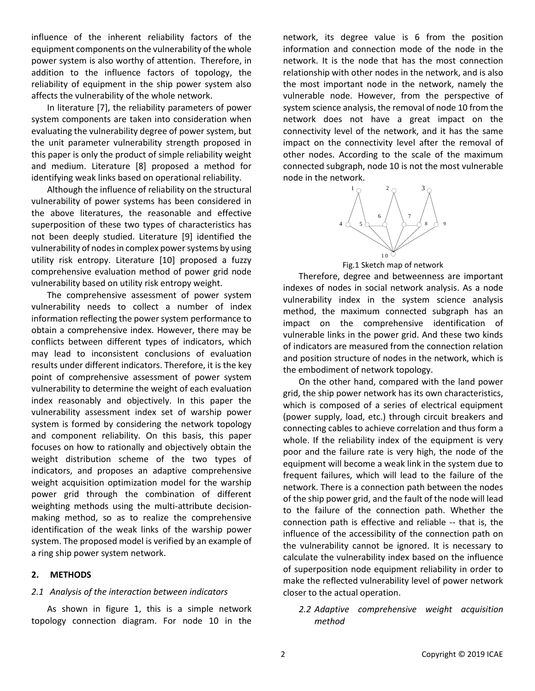influence of the inherent reliability factors of the equipment components on the vulnerability of the whole power system is also worthy of attention. Therefore, in addition to the influence factors of topology, the reliability of equipment in the ship power system also affects the vulnerability of the whole network.

In literature [7], the reliability parameters of power system components are taken into consideration when evaluating the vulnerability degree of power system, but the unit parameter vulnerability strength proposed in this paper is only the product of simple reliability weight and medium. Literature [8] proposed a method for identifying weak links based on operational reliability.

Although the influence of reliability on the structural vulnerability of power systems has been considered in the above literatures, the reasonable and effective superposition of these two types of characteristics has not been deeply studied. Literature [9] identified the vulnerability of nodes in complex power systems by using utility risk entropy. Literature [10] proposed a fuzzy comprehensive evaluation method of power grid node vulnerability based on utility risk entropy weight.

The comprehensive assessment of power system vulnerability needs to collect a number of index information reflecting the power system performance to obtain a comprehensive index. However, there may be conflicts between different types of indicators, which may lead to inconsistent conclusions of evaluation results under different indicators. Therefore, it is the key point of comprehensive assessment of power system vulnerability to determine the weight of each evaluation index reasonably and objectively. In this paper the vulnerability assessment index set of warship power system is formed by considering the network topology and component reliability. On this basis, this paper focuses on how to rationally and objectively obtain the weight distribution scheme of the two types of indicators, and proposes an adaptive comprehensive weight acquisition optimization model for the warship power grid through the combination of different weighting methods using the multi-attribute decisionmaking method, so as to realize the comprehensive identification of the weak links of the warship power system. The proposed model is verified by an example of a ring ship power system network.

### **2. METHODS**

### *2.1 Analysis of the interaction between indicators*

As shown in figure 1, this is a simple network topology connection diagram. For node 10 in the

network, its degree value is 6 from the position information and connection mode of the node in the network. It is the node that has the most connection relationship with other nodes in the network, and is also the most important node in the network, namely the vulnerable node. However, from the perspective of system science analysis, the removal of node 10 from the network does not have a great impact on the connectivity level of the network, and it has the same impact on the connectivity level after the removal of other nodes. According to the scale of the maximum connected subgraph, node 10 is not the most vulnerable node in the network.



Fig.1 Sketch map of network

Therefore, degree and betweenness are important indexes of nodes in social network analysis. As a node vulnerability index in the system science analysis method, the maximum connected subgraph has an impact on the comprehensive identification of vulnerable links in the power grid. And these two kinds of indicators are measured from the connection relation and position structure of nodes in the network, which is the embodiment of network topology.

On the other hand, compared with the land power grid, the ship power network has its own characteristics, which is composed of a series of electrical equipment (power supply, load, etc.) through circuit breakers and connecting cables to achieve correlation and thus form a whole. If the reliability index of the equipment is very poor and the failure rate is very high, the node of the equipment will become a weak link in the system due to frequent failures, which will lead to the failure of the network. There is a connection path between the nodes of the ship power grid, and the fault of the node will lead to the failure of the connection path. Whether the connection path is effective and reliable -- that is, the influence of the accessibility of the connection path on the vulnerability cannot be ignored. It is necessary to calculate the vulnerability index based on the influence of superposition node equipment reliability in order to make the reflected vulnerability level of power network closer to the actual operation.

*2.2 Adaptive comprehensive weight acquisition method*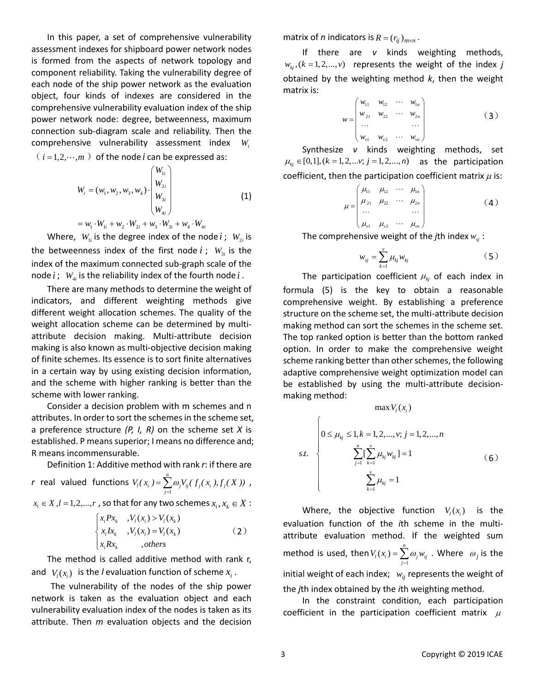In this paper, a set of comprehensive vulnerability assessment indexes for shipboard power network nodes is formed from the aspects of network topology and component reliability. Taking the vulnerability degree of each node of the ship power network as the evaluation object, four kinds of indexes are considered in the comprehensive vulnerability evaluation index of the ship power network node: degree, betweenness, maximum connection sub-diagram scale and reliability. Then the comprehensive vulnerability assessment index *Wi*

$$
(i = 1, 2, \dots, m)
$$
 of the node *i* can be expressed as:

$$
W_{i} = (w_{1}, w_{2}, w_{3}, w_{4}) \cdot \begin{pmatrix} W_{1i} \\ W_{2i} \\ W_{3i} \\ W_{4i} \end{pmatrix}
$$
  
=  $w_{1} \cdot W_{1i} + w_{2} \cdot W_{2i} + w_{3} \cdot W_{3i} + w_{4} \cdot W_{4i}$  (1)

Where,  $W_{1i}$  is the degree index of the node *i*;  $W_{2i}$  is the betweenness index of the first node  $i$ ;  $W_{3i}$  is the index of the maximum connected sub-graph scale of the node  $i$ ;  $W_{4i}$  is the reliability index of the fourth node  $i$ .

There are many methods to determine the weight of indicators, and different weighting methods give different weight allocation schemes. The quality of the weight allocation scheme can be determined by multiattribute decision making. Multi-attribute decision making is also known as multi-objective decision making of finite schemes. Its essence is to sort finite alternatives in a certain way by using existing decision information, and the scheme with higher ranking is better than the scheme with lower ranking.

Consider a decision problem with m schemes and n attributes. In order to sort the schemes in the scheme set, a preference structure *(P, I, R)* on the scheme set *X* is established. P means superior; I means no difference and; R means incommensurable.

Definition 1: Additive method with rank *r*: if there are

$$
r \text{ real valued functions } V_i(x_i) = \sum_{j=1}^n \omega_j V_{ij}(f_j(x_i), f_j(X)) ,
$$

 $x_i \in X, l = 1, 2, ..., r$  , so that for any two schemes  $x_i, x_k \in X$ :

$$
\begin{cases} x_i P x_k, & V_l(x_i) > V_l(x_k) \\ x_i I x_k, & V_l(x_i) = V_l(x_k) \\ x_i R x_k, & \text{, others} \end{cases} \tag{2}
$$

 The method is called additive method with rank r, and  $V_l(x_i)$  is the *l* evaluation function of scheme  $x_i$ .

The vulnerability of the nodes of the ship power network is taken as the evaluation object and each vulnerability evaluation index of the nodes is taken as its attribute. Then *m* evaluation objects and the decision

matrix of *n* indicators is  $R = (r_{ij})_{m \times n}$ .

If there are *v* kinds weighting methods,  $w_{kj}$ ,  $(k = 1, 2, ..., v)$  *represents the weight of the index j* obtained by the weighting method *k*, then the weight matrix is:

$$
w = \begin{pmatrix} w_{11} & w_{12} & \cdots & w_{1n} \\ w_{21} & w_{22} & \cdots & w_{2n} \\ \vdots & \vdots & \ddots & \vdots \\ w_{v1} & w_{v2} & \cdots & w_{vn} \end{pmatrix}
$$
 (3)

Synthesize *v* kinds weighting methods, set  $\mu_{kj} \in [0,1], (k = 1,2,...v; j = 1,2,...,n)$  as the participation coefficient, then the participation coefficient matrix  $\mu$  is:

$$
\mu = \begin{pmatrix} \mu_{11} & \mu_{12} & \cdots & \mu_{1n} \\ \mu_{21} & \mu_{22} & \cdots & \mu_{2n} \\ \vdots & \vdots & \ddots & \vdots \\ \mu_{v1} & \mu_{v2} & \cdots & \mu_{vn} \end{pmatrix}
$$
 (4)

The comprehensive weight of the *j*th index  $w_{\scriptscriptstyle{S}j}$  :

$$
w_{sj} = \sum_{k=1}^{v} \mu_{kj} w_{kj} \tag{5}
$$

The participation coefficient  $\mu_{kj}$  of each index in formula (5) is the key to obtain a reasonable comprehensive weight. By establishing a preference structure on the scheme set, the multi-attribute decision making method can sort the schemes in the scheme set. The top ranked option is better than the bottom ranked option. In order to make the comprehensive weight scheme ranking better than other schemes, the following adaptive comprehensive weight optimization model can be established by using the multi-attribute decisionmaking method:

 $max U(x)$ 

$$
s.t. \begin{cases} 0 \le \mu_{kj} \le 1, k = 1, 2, ..., v; j = 1, 2, ..., n \\ \sum_{j=1}^{n} \left[ \sum_{k=1}^{v} \mu_{kj} w_{kj} \right] = 1 \\ \sum_{k=1}^{v} \mu_{kj} = 1 \end{cases} \tag{6}
$$

Where, the objective function  $V_i(x_i)$  is the evaluation function of the *i*th scheme in the multiattribute evaluation method. If the weighted sum method is used, then  $V_l(x_i) = \sum_{j=1}^n \omega_j w_{ij}$  . Where  $\omega_j$  is the initial weight of each index;  $w_{ij}$  represents the weight of the *j*th index obtained by the *i*th weighting method.  $\sum_{j=1}^N w_j w_{ij}$  $V(x) = \sum \omega w$ Ξ,  $=\sum$ 

In the constraint condition, each participation coefficient in the participation coefficient matrix  $\mu$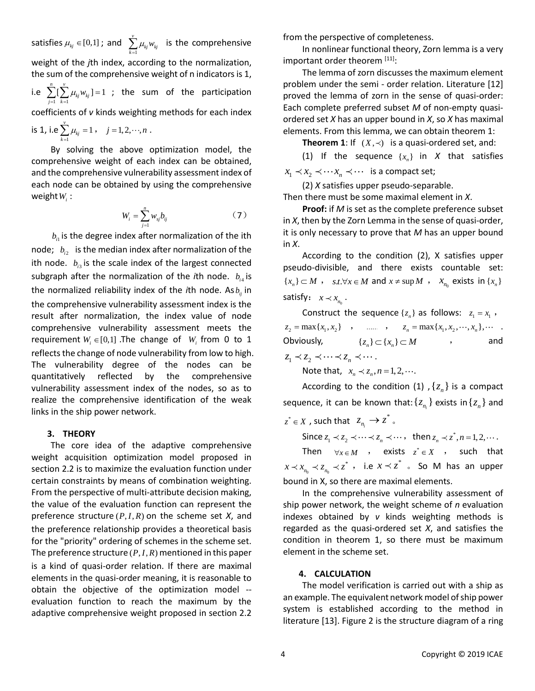satisfies  $\mu_{kj} \in [0,1]$ ; and  $\sum_{k=1}^{\infty} \mu_{kj} w_{kj}$  is the comprehensive weight of the *j*th index, according to the normalization, the sum of the comprehensive weight of n indicators is 1, i.e  $\sum_{j=1}^{n} \sum_{k=1}^{n} \mu_{kj} w_{kj}$ ]=1; the sum of the participation coefficients of *v* kinds weighting methods for each index is 1, i.e  $\sum_{k=1}^{\infty} \mu_{kj} = 1$ ,  $j = 1, 2, \dots, n$ . *v*  $\sum_{k=1}$   $\mu_{\scriptscriptstyle kj}$   $w_{\scriptscriptstyle kj}$  $\sum_{i=1}^{n} \left[ \sum_{i=1}^{v} \mu_{ki} w_{ki} \right] = 1$  $\sum_{j=1}^{\infty} \sum_{k=1}^{\infty} \mu_{kj} \nu_{kj}$  $\mu_{ki}$ *w*  $\sum_{j=1}^N [\sum_{k=1}^L \mu_{kj} w_{kj}] =$  $\sum^{\nu}$   $\mu_{\nu} = 1$  $\sum_{k=1}^{\infty} \mu_{kj} = 1$ ,  $j = 1, 2, \dots, n$ 

By solving the above optimization model, the comprehensive weight of each index can be obtained, and the comprehensive vulnerability assessment index of each node can be obtained by using the comprehensive  $weightW_i$ :

$$
W_i = \sum_{j=1}^{n} w_{sj} b_{ij} \tag{7}
$$

 $b_{i}$  is the degree index after normalization of the ith node;  $b_{i2}$  is the median index after normalization of the ith node.  $b_{i3}$  is the scale index of the largest connected subgraph after the normalization of the *i*th node.  $b_{i4}$  is the normalized reliability index of the *i*th node. As  $b_{ij}$  in the comprehensive vulnerability assessment index is the result after normalization, the index value of node comprehensive vulnerability assessment meets the requirement  $W_i \in [0,1]$  .The change of  $W_i$  from 0 to 1 reflects the change of node vulnerability from low to high. The vulnerability degree of the nodes can be quantitatively reflected by the comprehensive vulnerability assessment index of the nodes, so as to realize the comprehensive identification of the weak links in the ship power network.

### **3. THEORY**

The core idea of the adaptive comprehensive weight acquisition optimization model proposed in section 2.2 is to maximize the evaluation function under certain constraints by means of combination weighting. From the perspective of multi-attribute decision making, the value of the evaluation function can represent the preference structure  $(P, I, R)$  on the scheme set  $X$ , and the preference relationship provides a theoretical basis for the "priority" ordering of schemes in the scheme set. The preference structure  $(P, I, R)$  mentioned in this paper is a kind of quasi-order relation. If there are maximal elements in the quasi-order meaning, it is reasonable to obtain the objective of the optimization model - evaluation function to reach the maximum by the adaptive comprehensive weight proposed in section 2.2

from the perspective of completeness.

In nonlinear functional theory, Zorn lemma is a very important order theorem [11]:

The lemma of zorn discusses the maximum element problem under the semi - order relation. Literature [12] proved the lemma of zorn in the sense of quasi-order: Each complete preferred subset *M* of non-empty quasiordered set *X* has an upper bound in *X*, so *X* has maximal elements. From this lemma, we can obtain theorem 1:

**Theorem 1**: If  $(X, \prec)$  is a quasi-ordered set, and:

(1) If the sequence  $\{x_n\}$  in *X* that satisfies  $x_1 \prec x_2 \prec \cdots x_n \prec \cdots$  is a compact set;

(2) *X* satisfies upper pseudo-separable. Then there must be some maximal element in *X*.

**Proof:** if *M* is set as the complete preference subset in *X*, then by the Zorn Lemma in the sense of quasi-order, it is only necessary to prove that *M* has an upper bound in *X*.

According to the condition (2), X satisfies upper pseudo-divisible, and there exists countable set:  ${x_n} \subset M$ ,  $s.t.\forall x \in M$  and  $x \neq \sup M$ ,  $x_{n_0}$  exists in  ${x_n}$ satisfy:  $x \lt x_{n_0}$ .

Construct the sequence  $\{z_n\}$  as follows:  $z_1 = x_1$ , *z <sup>x</sup> <sup>x</sup>* <sup>2</sup> 1 2 max{ , } , , *<sup>n</sup> <sup>n</sup>* max{ , , , }, <sup>1</sup> <sup>2</sup> *<sup>z</sup> <sup>x</sup> <sup>x</sup> <sup>x</sup>* . Obviously,  $\{z_n\} \subset \{x_n\} \subset M$  , and  $z_1 \prec z_2 \prec \cdots \prec z_n \prec \cdots$ 

Note that,  $x_n \prec z_n, n = 1, 2, \cdots$ .

According to the condition (1),  $\{z_n\}$  is a compact sequence, it can be known that: $\{z_{n_i}\}$  exists in $\{z_n\}$  and

 $z^* \in X$  , such that  $z_{n_i} \to z^*$  .

Since  $z_1 \prec z_2 \prec \cdots \prec z_n \prec \cdots$ , then  $z_n \prec z^*$ ,  $n = 1, 2, \cdots$ .

Then  $\forall x \in M$  , exists  $z^* \in X$  , such that  $\frac{1}{2} \prec z_{n_0} \prec z^*$  , i.e  $x \prec \tilde{z}$  . So M has an upper bound in X, so there are maximal elements.  $x \prec x_{n_{\text{o}}} \prec z_{n_{\text{o}}} \prec z^{*}$ , i.e  $x \prec z^{*}$ 

In the comprehensive vulnerability assessment of ship power network, the weight scheme of *n* evaluation indexes obtained by *v* kinds weighting methods is regarded as the quasi-ordered set *X*, and satisfies the condition in theorem 1, so there must be maximum element in the scheme set.

#### **4. CALCULATION**

The model verification is carried out with a ship as an example. The equivalent network model of ship power system is established according to the method in literature [13]. Figure 2 is the structure diagram of a ring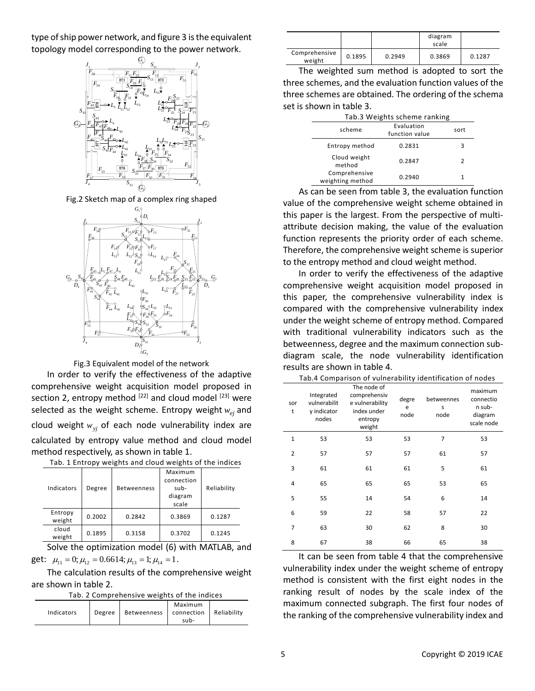type of ship power network, and figure 3 is the equivalent topology model corresponding to the power network.



Fig.2 Sketch map of a complex ring shaped



Fig.3 Equivalent model of the network

In order to verify the effectiveness of the adaptive comprehensive weight acquisition model proposed in section 2, entropy method  $[22]$  and cloud model  $[23]$  were selected as the weight scheme. Entropy weight *<sup>w</sup>ej* and cloud weight *<sup>w</sup>yj* of each node vulnerability index are calculated by entropy value method and cloud model method respectively, as shown in table 1.

| . <i>.</i><br>.   |        |                    |                                                   |             |
|-------------------|--------|--------------------|---------------------------------------------------|-------------|
| Indicators        | Degree | <b>Betweenness</b> | Maximum<br>connection<br>sub-<br>diagram<br>scale | Reliability |
| Entropy<br>weight | 0.2002 | 0.2842             | 0.3869                                            | 0.1287      |
| cloud<br>weight   | 0.1895 | 0.3158             | 0.3702                                            | 0.1245      |

Tab. 1 Entropy weights and cloud weights of the indices

Solve the optimization model (6) with MATLAB, and get:  $\mu_{11} = 0; \mu_{12} = 0.6614; \mu_{13} = 1; \mu_{14} = 1.$ 

The calculation results of the comprehensive weight are shown in table 2.

Tab. 2 Comprehensive weights of the indices

| Indicators<br>Degree | Maximum<br>Reliability<br>connection<br>Betweenness<br>sub- |
|----------------------|-------------------------------------------------------------|
|----------------------|-------------------------------------------------------------|

|                         |        |        | diagram<br>scale |        |
|-------------------------|--------|--------|------------------|--------|
| Comprehensive<br>weight | 0.1895 | 0.2949 | 0.3869           | 0.1287 |

 $S_{22}$   $\Box \Box \Box$   $\Box$   $\Box$   $\Box$   $\Box$   $\Box$  three schemes are obtained. The ordering of the schema The weighted sum method is adopted to sort the three schemes, and the evaluation function values of the set is shown in table 3.

|          | Tab.3 Weights scheme ranking      |                              |      |  |
|----------|-----------------------------------|------------------------------|------|--|
| $S_{21}$ | scheme                            | Evaluation<br>function value | sort |  |
|          | Entropy method                    | 0.2831                       | 3    |  |
|          | Cloud weight<br>method            | 0.2847                       |      |  |
|          | Comprehensive<br>weighting method | 0.2940                       |      |  |

 $S_{22}$   $\parallel$   $\qquad$  to the entropy method and cloud weight method. As can be seen from table 3, the evaluation function value of the comprehensive weight scheme obtained in this paper is the largest. From the perspective of multiattribute decision making, the value of the evaluation function represents the priority order of each scheme. Therefore, the comprehensive weight scheme is superior

 $J_4$   $D_3$ <sup>[S<sub>31</sub>  $D_4$ ]  $J_3$  **betweenness, degree and the maximum connection sub-**</sup> <sup>21</sup> *S* In order to verify the effectiveness of the adaptive  $\left| \begin{array}{c} F_{27} \end{array} \right|$   $F_{23}$   $F_{24}$   $F_{35}$   $F_{45}$  this paper, the comprehensive vulnerability index is comprehensive weight acquisition model proposed in compared with the comprehensive vulnerability index under the weight scheme of entropy method. Compared with traditional vulnerability indicators such as the diagram scale, the node vulnerability identification results are shown in table 4.

| Tab.4 Comparison of vulnerability identification of nodes |  |
|-----------------------------------------------------------|--|
|-----------------------------------------------------------|--|

| sor<br>t       | Integrated<br>vulnerabilit<br>y indicator | The node of<br>comprehensiv<br>e vulnerability<br>index under | degre<br>e<br>node | betweennes<br>S<br>node | maximum<br>connectio<br>n sub-<br>diagram |
|----------------|-------------------------------------------|---------------------------------------------------------------|--------------------|-------------------------|-------------------------------------------|
|                | nodes                                     | entropy<br>weight                                             |                    |                         | scale node                                |
| 1              | 53                                        | 53                                                            | 53                 | 7                       | 53                                        |
| $\overline{2}$ | 57                                        | 57                                                            | 57                 | 61                      | 57                                        |
| 3              | 61                                        | 61                                                            | 61                 | 5                       | 61                                        |
| 4              | 65                                        | 65                                                            | 65                 | 53                      | 65                                        |
| 5              | 55                                        | 14                                                            | 54                 | 6                       | 14                                        |
| 6              | 59                                        | 22                                                            | 58                 | 57                      | 22                                        |
| 7              | 63                                        | 30                                                            | 62                 | 8                       | 30                                        |
| 8              | 67                                        | 38                                                            | 66                 | 65                      | 38                                        |

It can be seen from table 4 that the comprehensive vulnerability index under the weight scheme of entropy method is consistent with the first eight nodes in the ranking result of nodes by the scale index of the maximum connected subgraph. The first four nodes of the ranking of the comprehensive vulnerability index and